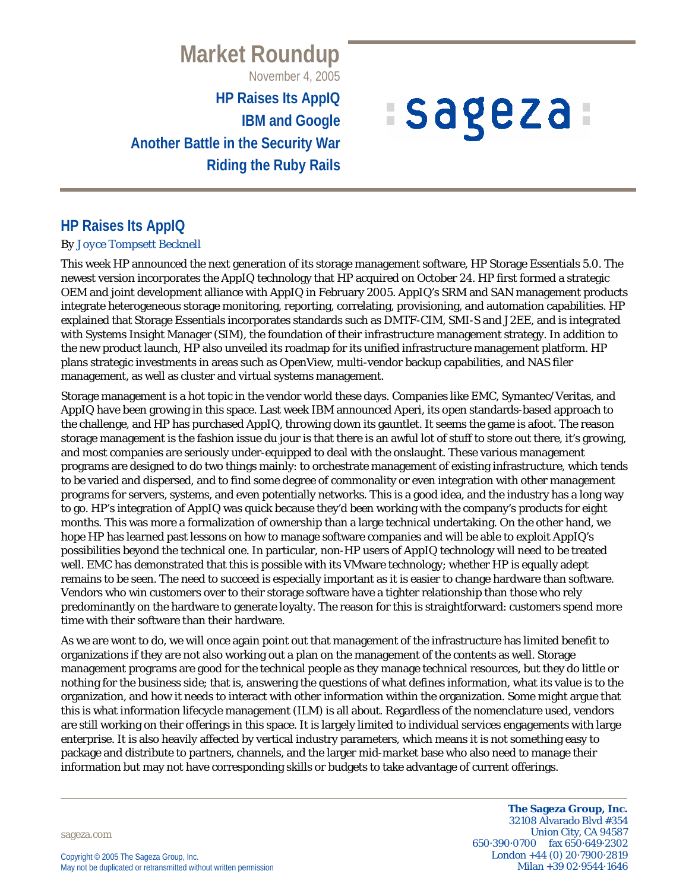**Market Roundup**

November 4, 2005

**HP Raises Its AppIQ IBM and Google Another Battle in the Security War Riding the Ruby Rails**

# *ISageza*

## **HP Raises Its AppIQ**

#### *By Joyce Tompsett Becknell*

This week HP announced the next generation of its storage management software, HP Storage Essentials 5.0. The newest version incorporates the AppIQ technology that HP acquired on October 24. HP first formed a strategic OEM and joint development alliance with AppIQ in February 2005. AppIQ's SRM and SAN management products integrate heterogeneous storage monitoring, reporting, correlating, provisioning, and automation capabilities. HP explained that Storage Essentials incorporates standards such as DMTF-CIM, SMI-S and J2EE, and is integrated with Systems Insight Manager (SIM), the foundation of their infrastructure management strategy. In addition to the new product launch, HP also unveiled its roadmap for its unified infrastructure management platform. HP plans strategic investments in areas such as OpenView, multi-vendor backup capabilities, and NAS filer management, as well as cluster and virtual systems management.

Storage management is a hot topic in the vendor world these days. Companies like EMC, Symantec/Veritas, and AppIQ have been growing in this space. Last week IBM announced Aperi, its open standards-based approach to the challenge, and HP has purchased AppIQ, throwing down its gauntlet. It seems the game is afoot. The reason storage management is the fashion issue du jour is that there is an awful lot of stuff to store out there, it's growing, and most companies are seriously under-equipped to deal with the onslaught. These various management programs are designed to do two things mainly: to orchestrate management of existing infrastructure, which tends to be varied and dispersed, and to find some degree of commonality or even integration with other management programs for servers, systems, and even potentially networks. This is a good idea, and the industry has a long way to go. HP's integration of AppIQ was quick because they'd been working with the company's products for eight months. This was more a formalization of ownership than a large technical undertaking. On the other hand, we hope HP has learned past lessons on how to manage software companies and will be able to exploit AppIQ's possibilities beyond the technical one. In particular, non-HP users of AppIQ technology will need to be treated well. EMC has demonstrated that this is possible with its VMware technology; whether HP is equally adept remains to be seen. The need to succeed is especially important as it is easier to change hardware than software. Vendors who win customers over to their storage software have a tighter relationship than those who rely predominantly on the hardware to generate loyalty. The reason for this is straightforward: customers spend more time with their software than their hardware.

As we are wont to do, we will once again point out that management of the infrastructure has limited benefit to organizations if they are not also working out a plan on the management of the contents as well. Storage management programs are good for the technical people as they manage technical resources, but they do little or nothing for the business side; that is, answering the questions of what defines information, what its value is to the organization, and how it needs to interact with other information within the organization. Some might argue that this is what information lifecycle management (ILM) is all about. Regardless of the nomenclature used, vendors are still working on their offerings in this space. It is largely limited to individual services engagements with large enterprise. It is also heavily affected by vertical industry parameters, which means it is not something easy to package and distribute to partners, channels, and the larger mid-market base who also need to manage their information but may not have corresponding skills or budgets to take advantage of current offerings.

sageza.com

**The Sageza Group, Inc.** 32108 Alvarado Blvd #354 Union City, CA 94587 650·390·0700 fax 650·649·2302 London +44 (0) 20·7900·2819 Milan +39 02·9544·1646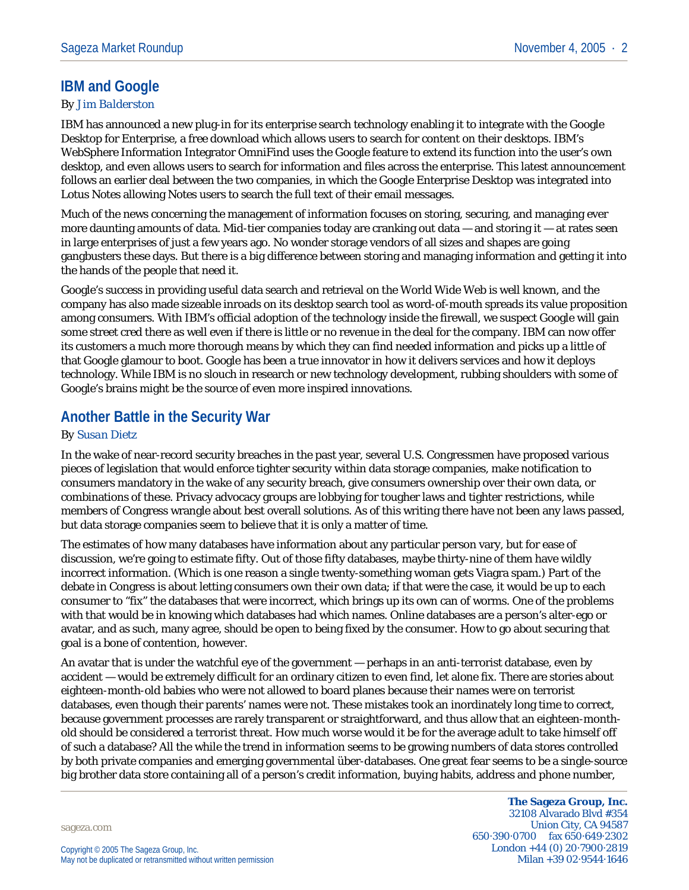### **IBM and Google**

#### *By Jim Balderston*

IBM has announced a new plug-in for its enterprise search technology enabling it to integrate with the Google Desktop for Enterprise, a free download which allows users to search for content on their desktops. IBM's WebSphere Information Integrator OmniFind uses the Google feature to extend its function into the user's own desktop, and even allows users to search for information and files across the enterprise. This latest announcement follows an earlier deal between the two companies, in which the Google Enterprise Desktop was integrated into Lotus Notes allowing Notes users to search the full text of their email messages.

Much of the news concerning the management of information focuses on storing, securing, and managing ever more daunting amounts of data. Mid-tier companies today are cranking out data — and storing it — at rates seen in large enterprises of just a few years ago. No wonder storage vendors of all sizes and shapes are going gangbusters these days. But there is a big difference between storing and managing information and getting it into the hands of the people that need it.

Google's success in providing useful data search and retrieval on the World Wide Web is well known, and the company has also made sizeable inroads on its desktop search tool as word-of-mouth spreads its value proposition among consumers. With IBM's official adoption of the technology inside the firewall, we suspect Google will gain some street cred there as well even if there is little or no revenue in the deal for the company. IBM can now offer its customers a much more thorough means by which they can find needed information and picks up a little of that Google glamour to boot. Google has been a true innovator in how it delivers services and how it deploys technology. While IBM is no slouch in research or new technology development, rubbing shoulders with some of Google's brains might be the source of even more inspired innovations.

## **Another Battle in the Security War**

#### *By Susan Dietz*

In the wake of near-record security breaches in the past year, several U.S. Congressmen have proposed various pieces of legislation that would enforce tighter security within data storage companies, make notification to consumers mandatory in the wake of any security breach, give consumers ownership over their own data, or combinations of these. Privacy advocacy groups are lobbying for tougher laws and tighter restrictions, while members of Congress wrangle about best overall solutions. As of this writing there have not been any laws passed, but data storage companies seem to believe that it is only a matter of time.

The estimates of how many databases have information about any particular person vary, but for ease of discussion, we're going to estimate fifty. Out of those fifty databases, maybe thirty-nine of them have wildly incorrect information. (Which is one reason a single twenty-something woman gets Viagra spam.) Part of the debate in Congress is about letting consumers own their own data; if that were the case, it would be up to each consumer to "fix" the databases that were incorrect, which brings up its own can of worms. One of the problems with that would be in knowing which databases had which names. Online databases are a person's alter-ego or avatar, and as such, many agree, should be open to being fixed by the consumer. How to go about securing that goal is a bone of contention, however.

An avatar that is under the watchful eye of the government — perhaps in an anti-terrorist database, even by accident — would be extremely difficult for an ordinary citizen to even find, let alone fix. There are stories about eighteen-month-old babies who were not allowed to board planes because their names were on terrorist databases, even though their parents' names were not. These mistakes took an inordinately long time to correct, because government processes are rarely transparent or straightforward, and thus allow that an eighteen-monthold should be considered a terrorist threat. How much worse would it be for the average adult to take himself off of such a database? All the while the trend in information seems to be growing numbers of data stores controlled by both private companies and emerging governmental über-databases. One great fear seems to be a single-source big brother data store containing all of a person's credit information, buying habits, address and phone number,

sageza.com

**The Sageza Group, Inc.** 32108 Alvarado Blvd #354 Union City, CA 94587 650·390·0700 fax 650·649·2302 London +44 (0) 20·7900·2819 Milan +39 02·9544·1646